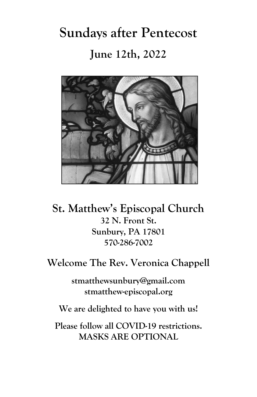**Sundays after Pentecost June 12th, 2022**



**St. Matthew's Episcopal Church 32 N. Front St. Sunbury, PA 17801 570-286-7002**

**Welcome The Rev. Veronica Chappell**

**stmatthewsunbury@gmail.com stmatthew-episcopal.org**

**We are delighted to have you with us!**

**Please follow all COVID-19 restrictions. MASKS ARE OPTIONAL**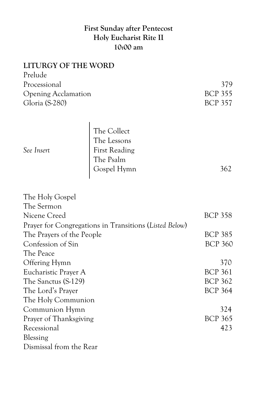# **First Sunday after Pentecost Holy Eucharist Rite II 10:00 am**

| <b>LITURGY OF THE WORD</b>                                                          |                      |                |
|-------------------------------------------------------------------------------------|----------------------|----------------|
| Prelude                                                                             |                      |                |
| Processional                                                                        |                      | 379            |
| <b>Opening Acclamation</b>                                                          |                      | <b>BCP 355</b> |
| Gloria (S-280)                                                                      |                      | <b>BCP 357</b> |
|                                                                                     | The Collect          |                |
|                                                                                     | The Lessons          |                |
| See Insert                                                                          | <b>First Reading</b> |                |
|                                                                                     | The Psalm            |                |
|                                                                                     | Gospel Hymn          | 362            |
|                                                                                     |                      |                |
| The Holy Gospel                                                                     |                      |                |
| The Sermon                                                                          |                      |                |
| Nicene Creed                                                                        |                      | <b>BCP 358</b> |
|                                                                                     |                      |                |
| Prayer for Congregations in Transitions (Listed Below)<br>The Prayers of the People |                      | <b>BCP 385</b> |
| Confession of Sin                                                                   |                      | <b>BCP 360</b> |
| The Peace                                                                           |                      |                |
| Offering Hymn                                                                       |                      | 370            |
| Eucharistic Prayer A                                                                |                      | <b>BCP 361</b> |
| The Sanctus (S-129)                                                                 |                      | <b>BCP 362</b> |
|                                                                                     |                      | <b>BCP 364</b> |
| The Lord's Prayer<br>The Holy Communion                                             |                      |                |
|                                                                                     |                      | 324            |
| Communion Hymn                                                                      |                      | <b>BCP 365</b> |
| Prayer of Thanksgiving<br>Recessional                                               |                      | 423            |
| Blessing                                                                            |                      |                |
| Dismissal from the Rear                                                             |                      |                |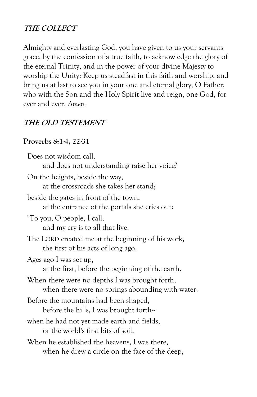# **THE COLLECT**

Almighty and everlasting God, you have given to us your servants grace, by the confession of a true faith, to acknowledge the glory of the eternal Trinity, and in the power of your divine Majesty to worship the Unity: Keep us steadfast in this faith and worship, and bring us at last to see you in your one and eternal glory, O Father; who with the Son and the Holy Spirit live and reign, one God, for ever and ever. *Amen.*

# **THE OLD TESTEMENT**

## **Proverbs 8:1-4, 22-31**

| Does not wisdom call,                             |  |
|---------------------------------------------------|--|
| and does not understanding raise her voice?       |  |
| On the heights, beside the way,                   |  |
| at the crossroads she takes her stand;            |  |
| beside the gates in front of the town,            |  |
| at the entrance of the portals she cries out:     |  |
| "To you, O people, I call,                        |  |
| and my cry is to all that live.                   |  |
| The LORD created me at the beginning of his work, |  |
| the first of his acts of long ago.                |  |
| Ages ago I was set up,                            |  |
| at the first, before the beginning of the earth.  |  |
| When there were no depths I was brought forth,    |  |
| when there were no springs abounding with water.  |  |
| Before the mountains had been shaped,             |  |
| before the hills, I was brought forth-            |  |
| when he had not yet made earth and fields,        |  |
| or the world's first bits of soil.                |  |
| When he established the heavens, I was there,     |  |
| when he drew a circle on the face of the deep,    |  |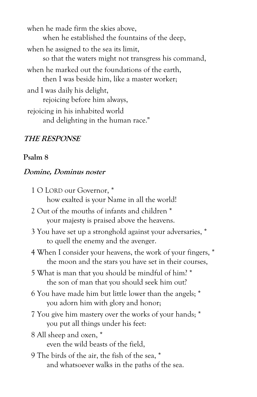when he made firm the skies above, when he established the fountains of the deep, when he assigned to the sea its limit, so that the waters might not transgress his command, when he marked out the foundations of the earth, then I was beside him, like a master worker; and I was daily his delight, rejoicing before him always, rejoicing in his inhabited world and delighting in the human race."

## **THE RESPONSE**

### **Psalm 8**

### **Domine, Dominus noster**

| 1 O LORD our Governor, *                                                                                             |
|----------------------------------------------------------------------------------------------------------------------|
| how exalted is your Name in all the world!                                                                           |
| 2 Out of the mouths of infants and children *                                                                        |
| your majesty is praised above the heavens.                                                                           |
| 3 You have set up a stronghold against your adversaries, *                                                           |
| to quell the enemy and the avenger.                                                                                  |
| 4 When I consider your heavens, the work of your fingers, *<br>the moon and the stars you have set in their courses, |
| 5 What is man that you should be mindful of him? *<br>the son of man that you should seek him out?                   |
| 6 You have made him but little lower than the angels; *<br>you adorn him with glory and honor;                       |
| 7 You give him mastery over the works of your hands; *<br>you put all things under his feet:                         |
| 8 All sheep and oxen, *<br>even the wild beasts of the field,                                                        |
| 9 The birds of the air, the fish of the sea, *<br>and whatsoever walks in the paths of the sea.                      |
|                                                                                                                      |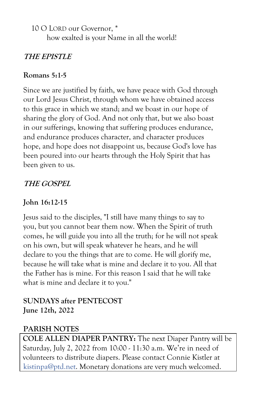10 O LORD our Governor, \*

how exalted is your Name in all the world!

# **THE EPISTLE**

## **Romans 5:1-5**

Since we are justified by faith, we have peace with God through our Lord Jesus Christ, through whom we have obtained access to this grace in which we stand; and we boast in our hope of sharing the glory of God. And not only that, but we also boast in our sufferings, knowing that suffering produces endurance, and endurance produces character, and character produces hope, and hope does not disappoint us, because God's love has been poured into our hearts through the Holy Spirit that has been given to us.

# **THE GOSPEL**

# **John 16:12-15**

Jesus said to the disciples, "I still have many things to say to you, but you cannot bear them now. When the Spirit of truth comes, he will guide you into all the truth; for he will not speak on his own, but will speak whatever he hears, and he will declare to you the things that are to come. He will glorify me, because he will take what is mine and declare it to you. All that the Father has is mine. For this reason I said that he will take what is mine and declare it to you."

# **SUNDAYS after PENTECOST June 12th, 2022**

# **PARISH NOTES**

**COLE ALLEN DIAPER PANTRY:** The next Diaper Pantry will be Saturday, July 2, 2022 from 10:00 - 11:30 a.m. We're in need of volunteers to distribute diapers. Please contact Connie Kistler at kistinpa@ptd.net. Monetary donations are very much welcomed.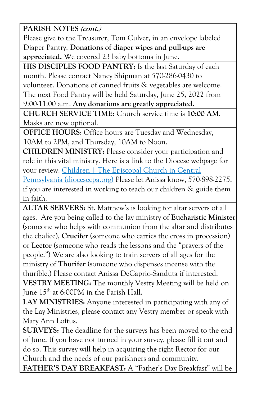**PARISH NOTES (cont.)**

Please give to the Treasurer, Tom Culver, in an envelope labeled Diaper Pantry. **Donations of diaper wipes and pull-ups are appreciated.** We covered 23 baby bottoms in June.

**HIS DISCIPLES FOOD PANTRY:** Is the last Saturday of each month. Please contact Nancy Shipman at 570-286-0430 to volunteer. Donations of canned fruits & vegetables are welcome. The next Food Pantry will be held Saturday, June 25**,** 2022 from 9:00-11:00 a.m. **Any donations are greatly appreciated.**

**CHURCH SERVICE TIME:** Church service time is **10:00 AM**. Masks are now optional.

**OFFICE HOURS**: Office hours are Tuesday and Wednesday, 10AM to 2PM, and Thursday, 10AM to Noon.

**CHILDREN MINISTRY:** Please consider your participation and role in this vital ministry. Here is a link to the Diocese webpage for your review. Children | The Episcopal Church in Central [Pennsylvania \(diocesecpa.org\)](https://diocesecpa.org/children/) Please let Anissa know, 570-898-2275,

if you are interested in working to teach our children & guide them in faith.

**ALTAR SERVERS:** St. Matthew's is looking for altar servers of all ages. Are you being called to the lay ministry of **Eucharistic Minister** (someone who helps with communion from the altar and distributes the chalice), **Crucifer** (someone who carries the cross in procession) or **Lector** (someone who reads the lessons and the "prayers of the people.") We are also looking to train servers of all ages for the ministry of **Thurifer** (someone who dispenses incense with the thurible.) Please contact Anissa DeCaprio-Sanduta if interested.

**VESTRY MEETING:** The monthly Vestry Meeting will be held on June  $15^{\text{th}}$  at 6:00PM in the Parish Hall.

**LAY MINISTRIES:** Anyone interested in participating with any of the Lay Ministries, please contact any Vestry member or speak with Mary Ann Loftus.

**SURVEYS:** The deadline for the surveys has been moved to the end of June. If you have not turned in your survey, please fill it out and do so. This survey will help in acquiring the right Rector for our Church and the needs of our parishners and community.

**FATHER'S DAY BREAKFAST:** A "Father's Day Breakfast" will be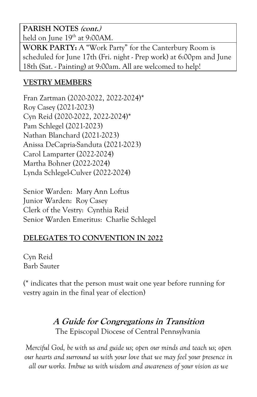**PARISH NOTES (cont.)** held on June 19<sup>th</sup> at 9:00AM.

**WORK PARTY:** A "Work Party" for the Canterbury Room is scheduled for June 17th (Fri. night - Prep work) at 6:00pm and June 18th (Sat. - Painting) at 9:00am. All are welcomed to help!

# **VESTRY MEMBERS**

Fran Zartman (2020-2022, 2022-2024)\* Roy Casey (2021-2023) Cyn Reid (2020-2022, 2022-2024)\* Pam Schlegel (2021-2023) Nathan Blanchard (2021-2023) Anissa DeCapria-Sanduta (2021-2023) Carol Lamparter (2022-2024) Martha Bohner (2022-2024) Lynda Schlegel-Culver (2022-2024)

Senior Warden: Mary Ann Loftus Junior Warden: Roy Casey Clerk of the Vestry: Cynthia Reid Senior Warden Emeritus: Charlie Schlegel

## **DELEGATES TO CONVENTION IN 2022**

Cyn Reid Barb Sauter

(\* indicates that the person must wait one year before running for vestry again in the final year of election)

# **A Guide for Congregations in Transition** The Episcopal Diocese of Central Pennsylvania

*Merciful God, be with us and guide us; open our minds and teach us; open our hearts and surround us with your love that we may feel your presence in all our works. Imbue us with wisdom and awareness of your vision as we*